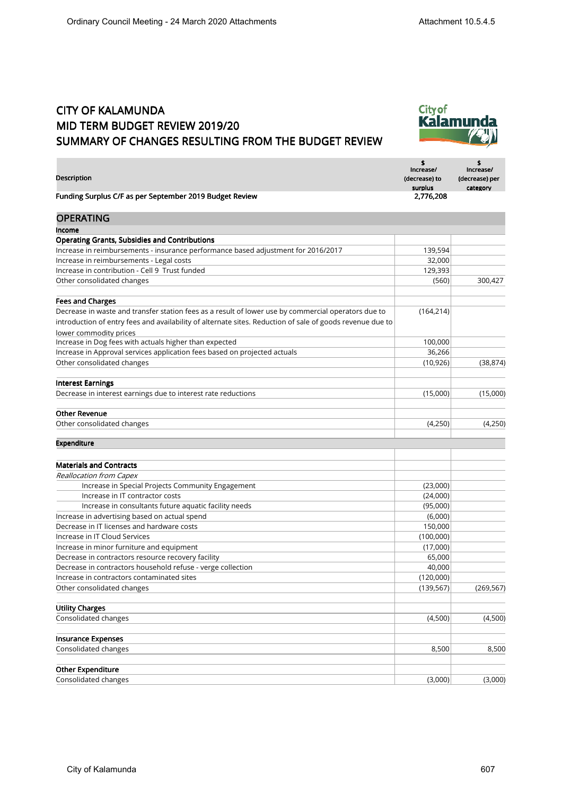×

## CITY OF KALAMUNDA MID TERM BUDGET REVIEW 2019/20 SUMMARY OF CHANGES RESULTING FROM THE BUDGET REVIEW



| Description                                                                                               | S<br>Increase/<br>(decrease) to<br>surplus | Increase/<br>(decrease) per<br>category |
|-----------------------------------------------------------------------------------------------------------|--------------------------------------------|-----------------------------------------|
| Funding Surplus C/F as per September 2019 Budget Review                                                   | 2,776,208                                  |                                         |
| <b>OPERATING</b>                                                                                          |                                            |                                         |
| Income                                                                                                    |                                            |                                         |
| <b>Operating Grants, Subsidies and Contributions</b>                                                      |                                            |                                         |
| Increase in reimbursements - insurance performance based adjustment for 2016/2017                         | 139,594                                    |                                         |
| Increase in reimbursements - Legal costs                                                                  | 32,000                                     |                                         |
| Increase in contribution - Cell 9 Trust funded                                                            | 129,393                                    |                                         |
| Other consolidated changes                                                                                | (560)                                      | 300,427                                 |
| <b>Fees and Charges</b>                                                                                   |                                            |                                         |
| Decrease in waste and transfer station fees as a result of lower use by commercial operators due to       | (164, 214)                                 |                                         |
| introduction of entry fees and availability of alternate sites. Reduction of sale of goods revenue due to |                                            |                                         |
| lower commodity prices                                                                                    |                                            |                                         |
| Increase in Dog fees with actuals higher than expected                                                    | 100,000                                    |                                         |
| Increase in Approval services application fees based on projected actuals                                 | 36,266                                     |                                         |
| Other consolidated changes                                                                                | (10, 926)                                  | (38, 874)                               |
| <b>Interest Earnings</b>                                                                                  |                                            |                                         |
| Decrease in interest earnings due to interest rate reductions                                             | (15,000)                                   | (15,000)                                |
| <b>Other Revenue</b>                                                                                      |                                            |                                         |
| Other consolidated changes                                                                                | (4,250)                                    | (4,250)                                 |
| Expenditure                                                                                               |                                            |                                         |
| <b>Materials and Contracts</b>                                                                            |                                            |                                         |
| Reallocation from Capex                                                                                   |                                            |                                         |
| Increase in Special Projects Community Engagement                                                         | (23,000)                                   |                                         |
| Increase in IT contractor costs                                                                           | (24,000)                                   |                                         |
| Increase in consultants future aquatic facility needs                                                     | (95,000)                                   |                                         |
| Increase in advertising based on actual spend                                                             | (6,000)                                    |                                         |
| Decrease in IT licenses and hardware costs                                                                | 150,000                                    |                                         |
| Increase in IT Cloud Services                                                                             | (100,000)                                  |                                         |
| Increase in minor furniture and equipment                                                                 | (17,000)                                   |                                         |
| Decrease in contractors resource recovery facility                                                        | 65,000                                     |                                         |
| Decrease in contractors household refuse - verge collection                                               | 40,000                                     |                                         |
| Increase in contractors contaminated sites                                                                | (120,000)                                  |                                         |
| Other consolidated changes                                                                                | (139, 567)                                 | (269, 567)                              |
| <b>Utility Charges</b>                                                                                    |                                            |                                         |
| Consolidated changes                                                                                      | (4,500)                                    | (4,500)                                 |
| <b>Insurance Expenses</b>                                                                                 |                                            |                                         |
| Consolidated changes                                                                                      | 8,500                                      | 8,500                                   |
| <b>Other Expenditure</b>                                                                                  |                                            |                                         |
| Consolidated changes                                                                                      | (3,000)                                    | (3,000)                                 |